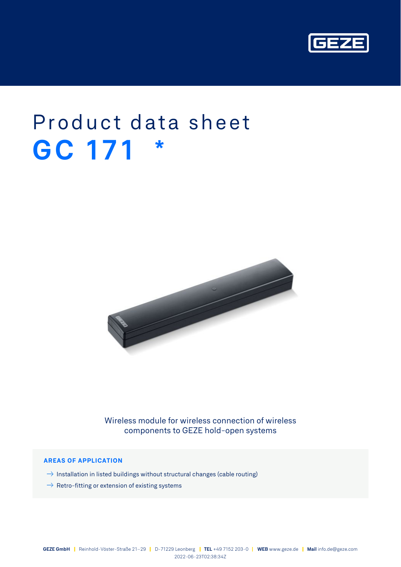

# Product data sheet **GC 171 \***



Wireless module for wireless connection of wireless components to GEZE hold-open systems

## **AREAS OF APPLICATION**

- $\rightarrow$  Installation in listed buildings without structural changes (cable routing)
- $\rightarrow$  Retro-fitting or extension of existing systems